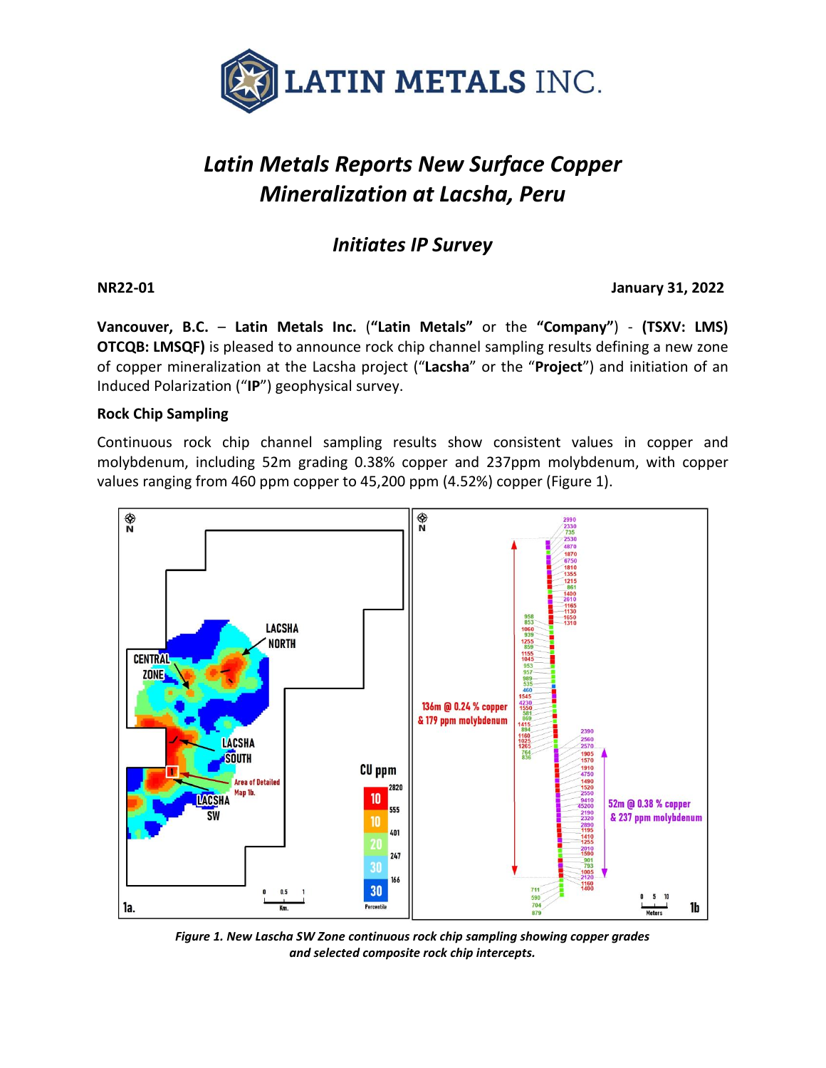

# *Latin Metals Reports New Surface Copper Mineralization at Lacsha, Peru*

## *Initiates IP Survey*

#### **NR22-01 January 31, 2022**

**Vancouver, B.C.** – **Latin Metals Inc.** (**"Latin Metals"** or the **"Company"**) - **(TSXV: LMS) OTCQB: LMSQF)** is pleased to announce rock chip channel sampling results defining a new zone of copper mineralization at the Lacsha project ("**Lacsha**" or the "**Project**") and initiation of an Induced Polarization ("**IP**") geophysical survey.

#### **Rock Chip Sampling**

Continuous rock chip channel sampling results show consistent values in copper and molybdenum, including 52m grading 0.38% copper and 237ppm molybdenum, with copper values ranging from 460 ppm copper to 45,200 ppm (4.52%) copper (Figure 1).



*Figure 1. New Lascha SW Zone continuous rock chip sampling showing copper grades and selected composite rock chip intercepts.*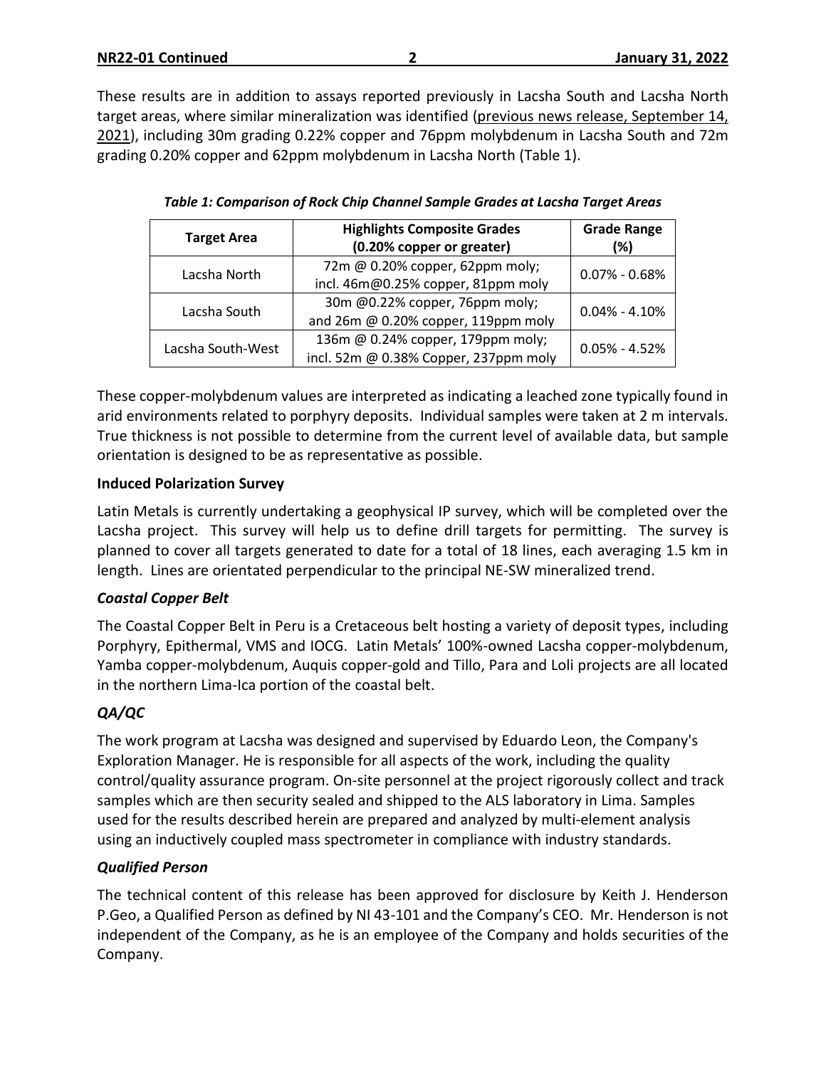These results are in addition to assays reported previously in Lacsha South and Lacsha North target areas, where similar mineralization was identified (previous news release, [September](https://latin-metals.com/news-releases/latin-metals-discovers-additional-copper-mineralization-at-lacsha-project-peru/) 14, [2021\)](https://latin-metals.com/news-releases/latin-metals-discovers-additional-copper-mineralization-at-lacsha-project-peru/), including 30m grading 0.22% copper and 76ppm molybdenum in Lacsha South and 72m grading 0.20% copper and 62ppm molybdenum in Lacsha North (Table 1).

| <b>Target Area</b> | <b>Highlights Composite Grades</b><br>(0.20% copper or greater) |                   |  |
|--------------------|-----------------------------------------------------------------|-------------------|--|
| Lacsha North       | 72m @ 0.20% copper, 62ppm moly;                                 | $0.07\% - 0.68\%$ |  |
|                    | incl. 46m@0.25% copper, 81ppm moly                              |                   |  |
| Lacsha South       | 30m @0.22% copper, 76ppm moly;                                  | $0.04\% - 4.10\%$ |  |
|                    | and 26m @ 0.20% copper, 119ppm moly                             |                   |  |
| Lacsha South-West  | 136m @ 0.24% copper, 179ppm moly;                               | $0.05\% - 4.52\%$ |  |
|                    | incl. 52m @ 0.38% Copper, 237ppm moly                           |                   |  |

| Table 1: Comparison of Rock Chip Channel Sample Grades at Lacsha Target Areas |  |  |  |  |
|-------------------------------------------------------------------------------|--|--|--|--|
|-------------------------------------------------------------------------------|--|--|--|--|

These copper-molybdenum values are interpreted as indicating a leached zone typically found in arid environments related to porphyry deposits. Individual samples were taken at 2 m intervals. True thickness is not possible to determine from the current level of available data, but sample orientation is designed to be as representative as possible.

#### **Induced Polarization Survey**

Latin Metals is currently undertaking a geophysical IP survey, which will be completed over the Lacsha project. This survey will help us to define drill targets for permitting. The survey is planned to cover all targets generated to date for a total of 18 lines, each averaging 1.5 km in length. Lines are orientated perpendicular to the principal NE-SW mineralized trend.

#### *Coastal Copper Belt*

The Coastal Copper Belt in Peru is a Cretaceous belt hosting a variety of deposit types, including Porphyry, Epithermal, VMS and IOCG. Latin Metals' 100%-owned Lacsha copper-molybdenum, Yamba copper-molybdenum, Auquis copper-gold and Tillo, Para and Loli projects are all located in the northern Lima-Ica portion of the coastal belt.

#### *QA/QC*

The work program at Lacsha was designed and supervised by Eduardo Leon, the Company's Exploration Manager. He is responsible for all aspects of the work, including the quality control/quality assurance program. On-site personnel at the project rigorously collect and track samples which are then security sealed and shipped to the ALS laboratory in Lima. Samples used for the results described herein are prepared and analyzed by multi-element analysis using an inductively coupled mass spectrometer in compliance with industry standards.

#### *Qualified Person*

The technical content of this release has been approved for disclosure by Keith J. Henderson P.Geo, a Qualified Person as defined by NI 43-101 and the Company's CEO. Mr. Henderson is not independent of the Company, as he is an employee of the Company and holds securities of the Company.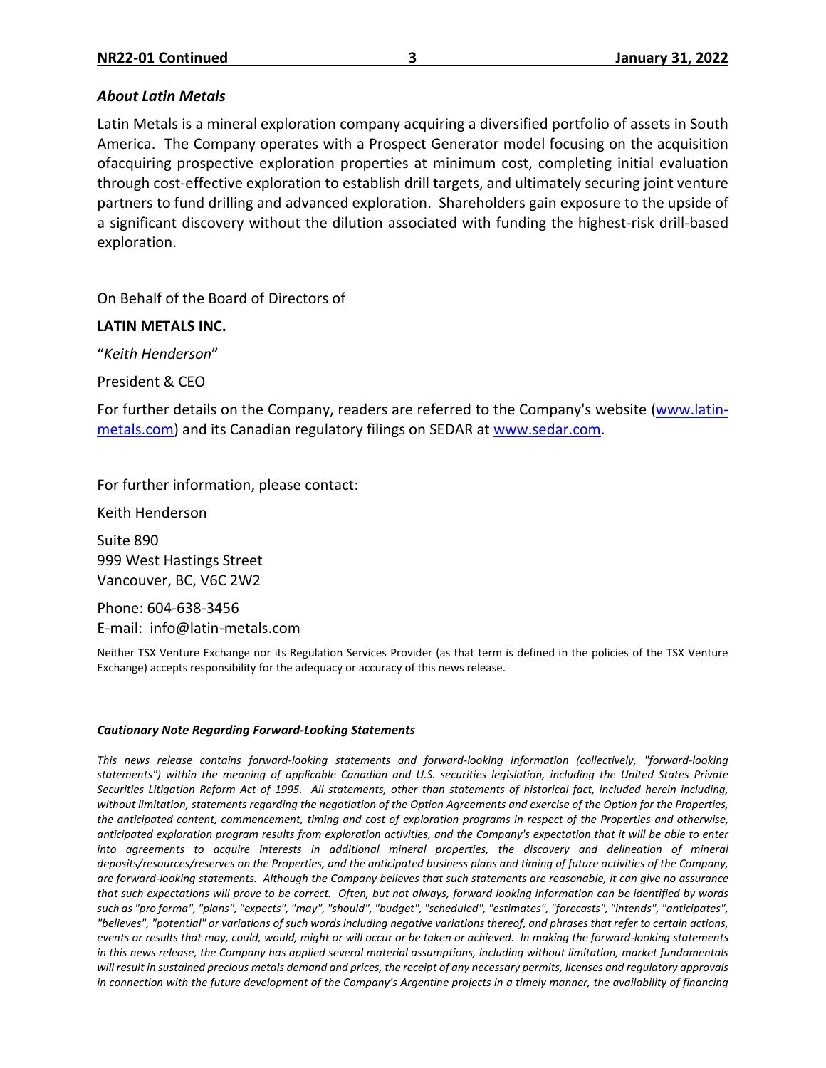#### *About Latin Metals*

Latin Metals is a mineral exploration company acquiring a diversified portfolio of assets in South America. The Company operates with a Prospect Generator model focusing on the acquisition ofacquiring prospective exploration properties at minimum cost, completing initial evaluation through cost-effective exploration to establish drill targets, and ultimately securing joint venture partners to fund drilling and advanced exploration. Shareholders gain exposure to the upside of a significant discovery without the dilution associated with funding the highest-risk drill-based exploration.

On Behalf of the Board of Directors of

### **LATIN METALS INC.**

"*Keith Henderson*"

President & CEO

For further details on the Company, readers are referred to the Company's website [\(www.latin](http://www.centeneramining.com/)[metals.com\)](http://www.centeneramining.com/) and its Canadian regulatory filings on SEDAR at [www.sedar.com.](http://www.sedar.com/)

For further information, please contact:

Keith Henderson

Suite 890 999 West Hastings Street Vancouver, BC, V6C 2W2

Phone: 604-638-3456 E-mail: info@latin-metals.com

Neither TSX Venture Exchange nor its Regulation Services Provider (as that term is defined in the policies of the TSX Venture Exchange) accepts responsibility for the adequacy or accuracy of this news release.

#### *Cautionary Note Regarding Forward-Looking Statements*

*This news release contains forward-looking statements and forward-looking information (collectively, "forward-looking* statements") within the meaning of applicable Canadian and U.S. securities legislation, including the United States Private Securities Litigation Reform Act of 1995. All statements, other than statements of historical fact, included herein including, without limitation, statements regarding the negotiation of the Option Agreements and exercise of the Option for the Properties, the anticipated content, commencement, timing and cost of exploration programs in respect of the Properties and otherwise, anticipated exploration program results from exploration activities, and the Company's expectation that it will be able to enter *into agreements to acquire interests in additional mineral properties, the discovery and delineation of mineral* deposits/resources/reserves on the Properties, and the anticipated business plans and timing of future activities of the Company, are forward-looking statements. Although the Company believes that such statements are reasonable, it can give no assurance that such expectations will prove to be correct. Often, but not always, forward looking information can be identified by words such as "pro forma", "plans", "expects", "may", "should", "budget", "scheduled", "estimates", "forecasts", "intends", "anticipates", "believes", "potential" or variations of such words including negative variations thereof, and phrases that refer to certain actions, events or results that may, could, would, might or will occur or be taken or achieved. In making the forward-looking statements in this news release, the Company has applied several material assumptions, including without limitation, market fundamentals will result in sustained precious metals demand and prices, the receipt of any necessary permits, licenses and regulatory approvals in connection with the future development of the Company's Argentine projects in a timely manner, the availability of financing